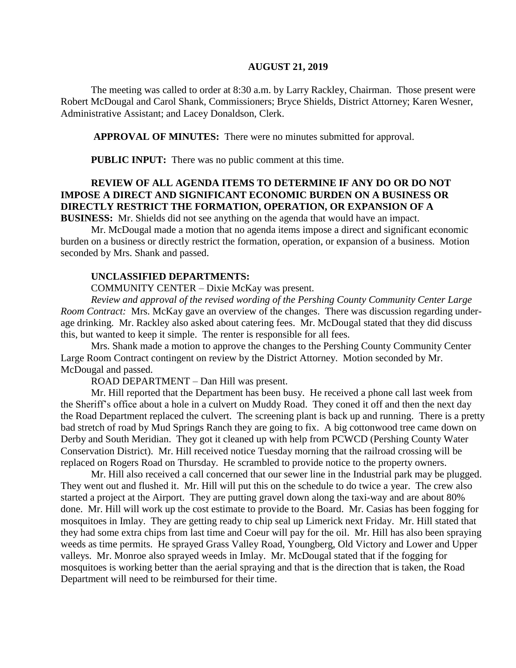#### **AUGUST 21, 2019**

The meeting was called to order at 8:30 a.m. by Larry Rackley, Chairman. Those present were Robert McDougal and Carol Shank, Commissioners; Bryce Shields, District Attorney; Karen Wesner, Administrative Assistant; and Lacey Donaldson, Clerk.

**APPROVAL OF MINUTES:** There were no minutes submitted for approval.

 **PUBLIC INPUT:** There was no public comment at this time.

## **REVIEW OF ALL AGENDA ITEMS TO DETERMINE IF ANY DO OR DO NOT IMPOSE A DIRECT AND SIGNIFICANT ECONOMIC BURDEN ON A BUSINESS OR DIRECTLY RESTRICT THE FORMATION, OPERATION, OR EXPANSION OF A BUSINESS:** Mr. Shields did not see anything on the agenda that would have an impact.

Mr. McDougal made a motion that no agenda items impose a direct and significant economic burden on a business or directly restrict the formation, operation, or expansion of a business. Motion seconded by Mrs. Shank and passed.

#### **UNCLASSIFIED DEPARTMENTS:**

COMMUNITY CENTER – Dixie McKay was present.

*Review and approval of the revised wording of the Pershing County Community Center Large Room Contract:* Mrs. McKay gave an overview of the changes. There was discussion regarding underage drinking. Mr. Rackley also asked about catering fees. Mr. McDougal stated that they did discuss this, but wanted to keep it simple. The renter is responsible for all fees.

Mrs. Shank made a motion to approve the changes to the Pershing County Community Center Large Room Contract contingent on review by the District Attorney. Motion seconded by Mr. McDougal and passed.

ROAD DEPARTMENT – Dan Hill was present.

Mr. Hill reported that the Department has been busy. He received a phone call last week from the Sheriff's office about a hole in a culvert on Muddy Road. They coned it off and then the next day the Road Department replaced the culvert. The screening plant is back up and running. There is a pretty bad stretch of road by Mud Springs Ranch they are going to fix. A big cottonwood tree came down on Derby and South Meridian. They got it cleaned up with help from PCWCD (Pershing County Water Conservation District). Mr. Hill received notice Tuesday morning that the railroad crossing will be replaced on Rogers Road on Thursday. He scrambled to provide notice to the property owners.

Mr. Hill also received a call concerned that our sewer line in the Industrial park may be plugged. They went out and flushed it. Mr. Hill will put this on the schedule to do twice a year. The crew also started a project at the Airport. They are putting gravel down along the taxi-way and are about 80% done. Mr. Hill will work up the cost estimate to provide to the Board. Mr. Casias has been fogging for mosquitoes in Imlay. They are getting ready to chip seal up Limerick next Friday. Mr. Hill stated that they had some extra chips from last time and Coeur will pay for the oil. Mr. Hill has also been spraying weeds as time permits. He sprayed Grass Valley Road, Youngberg, Old Victory and Lower and Upper valleys. Mr. Monroe also sprayed weeds in Imlay. Mr. McDougal stated that if the fogging for mosquitoes is working better than the aerial spraying and that is the direction that is taken, the Road Department will need to be reimbursed for their time.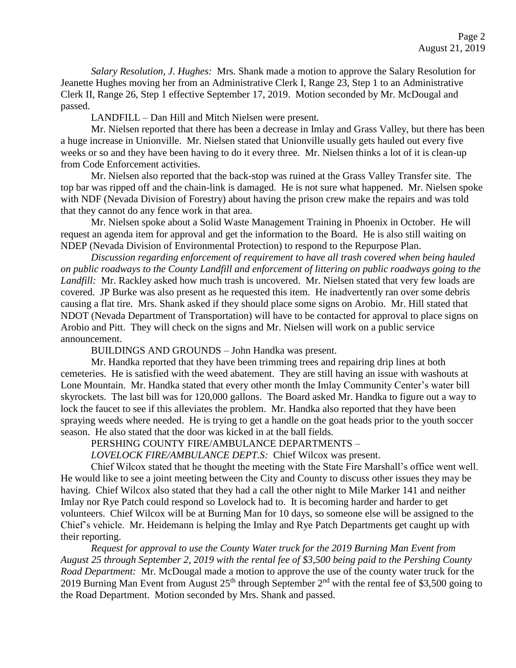*Salary Resolution, J. Hughes:* Mrs. Shank made a motion to approve the Salary Resolution for Jeanette Hughes moving her from an Administrative Clerk I, Range 23, Step 1 to an Administrative Clerk II, Range 26, Step 1 effective September 17, 2019. Motion seconded by Mr. McDougal and passed.

LANDFILL – Dan Hill and Mitch Nielsen were present.

Mr. Nielsen reported that there has been a decrease in Imlay and Grass Valley, but there has been a huge increase in Unionville. Mr. Nielsen stated that Unionville usually gets hauled out every five weeks or so and they have been having to do it every three. Mr. Nielsen thinks a lot of it is clean-up from Code Enforcement activities.

Mr. Nielsen also reported that the back-stop was ruined at the Grass Valley Transfer site. The top bar was ripped off and the chain-link is damaged. He is not sure what happened. Mr. Nielsen spoke with NDF (Nevada Division of Forestry) about having the prison crew make the repairs and was told that they cannot do any fence work in that area.

Mr. Nielsen spoke about a Solid Waste Management Training in Phoenix in October. He will request an agenda item for approval and get the information to the Board. He is also still waiting on NDEP (Nevada Division of Environmental Protection) to respond to the Repurpose Plan.

*Discussion regarding enforcement of requirement to have all trash covered when being hauled on public roadways to the County Landfill and enforcement of littering on public roadways going to the Landfill:* Mr. Rackley asked how much trash is uncovered. Mr. Nielsen stated that very few loads are covered. JP Burke was also present as he requested this item. He inadvertently ran over some debris causing a flat tire. Mrs. Shank asked if they should place some signs on Arobio. Mr. Hill stated that NDOT (Nevada Department of Transportation) will have to be contacted for approval to place signs on Arobio and Pitt. They will check on the signs and Mr. Nielsen will work on a public service announcement.

BUILDINGS AND GROUNDS – John Handka was present.

Mr. Handka reported that they have been trimming trees and repairing drip lines at both cemeteries. He is satisfied with the weed abatement. They are still having an issue with washouts at Lone Mountain. Mr. Handka stated that every other month the Imlay Community Center's water bill skyrockets. The last bill was for 120,000 gallons. The Board asked Mr. Handka to figure out a way to lock the faucet to see if this alleviates the problem. Mr. Handka also reported that they have been spraying weeds where needed. He is trying to get a handle on the goat heads prior to the youth soccer season. He also stated that the door was kicked in at the ball fields.

PERSHING COUNTY FIRE/AMBULANCE DEPARTMENTS –

*LOVELOCK FIRE/AMBULANCE DEPT.S:* Chief Wilcox was present.

Chief Wilcox stated that he thought the meeting with the State Fire Marshall's office went well. He would like to see a joint meeting between the City and County to discuss other issues they may be having. Chief Wilcox also stated that they had a call the other night to Mile Marker 141 and neither Imlay nor Rye Patch could respond so Lovelock had to. It is becoming harder and harder to get volunteers. Chief Wilcox will be at Burning Man for 10 days, so someone else will be assigned to the Chief's vehicle. Mr. Heidemann is helping the Imlay and Rye Patch Departments get caught up with their reporting.

*Request for approval to use the County Water truck for the 2019 Burning Man Event from August 25 through September 2, 2019 with the rental fee of \$3,500 being paid to the Pershing County Road Department:* Mr. McDougal made a motion to approve the use of the county water truck for the 2019 Burning Man Event from August  $25<sup>th</sup>$  through September  $2<sup>nd</sup>$  with the rental fee of \$3,500 going to the Road Department. Motion seconded by Mrs. Shank and passed.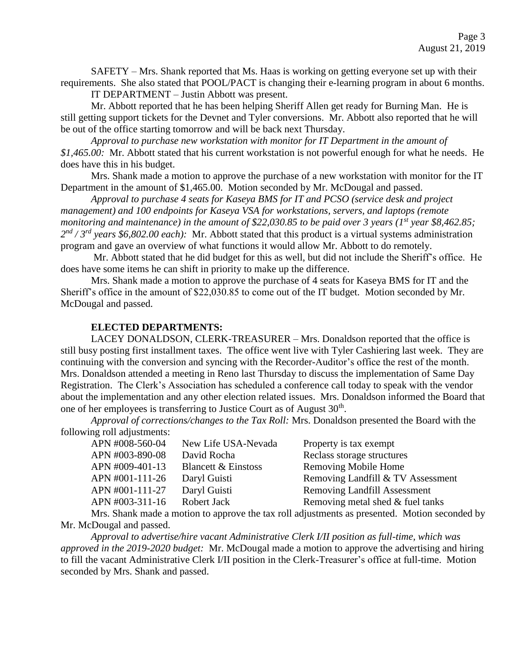SAFETY – Mrs. Shank reported that Ms. Haas is working on getting everyone set up with their requirements. She also stated that POOL/PACT is changing their e-learning program in about 6 months. IT DEPARTMENT – Justin Abbott was present.

Mr. Abbott reported that he has been helping Sheriff Allen get ready for Burning Man. He is still getting support tickets for the Devnet and Tyler conversions. Mr. Abbott also reported that he will be out of the office starting tomorrow and will be back next Thursday.

*Approval to purchase new workstation with monitor for IT Department in the amount of \$1,465.00:* Mr. Abbott stated that his current workstation is not powerful enough for what he needs. He does have this in his budget.

Mrs. Shank made a motion to approve the purchase of a new workstation with monitor for the IT Department in the amount of \$1,465.00. Motion seconded by Mr. McDougal and passed.

*Approval to purchase 4 seats for Kaseya BMS for IT and PCSO (service desk and project management) and 100 endpoints for Kaseya VSA for workstations, servers, and laptops (remote monitoring and maintenance) in the amount of \$22,030.85 to be paid over 3 years (1st year \$8,462.85;*   $2^{nd}$  / 3<sup>rd</sup> years \$6,802.00 each): Mr. Abbott stated that this product is a virtual systems administration program and gave an overview of what functions it would allow Mr. Abbott to do remotely.

Mr. Abbott stated that he did budget for this as well, but did not include the Sheriff's office. He does have some items he can shift in priority to make up the difference.

Mrs. Shank made a motion to approve the purchase of 4 seats for Kaseya BMS for IT and the Sheriff's office in the amount of \$22,030.85 to come out of the IT budget. Motion seconded by Mr. McDougal and passed.

# **ELECTED DEPARTMENTS:**

LACEY DONALDSON, CLERK-TREASURER – Mrs. Donaldson reported that the office is still busy posting first installment taxes. The office went live with Tyler Cashiering last week. They are continuing with the conversion and syncing with the Recorder-Auditor's office the rest of the month. Mrs. Donaldson attended a meeting in Reno last Thursday to discuss the implementation of Same Day Registration. The Clerk's Association has scheduled a conference call today to speak with the vendor about the implementation and any other election related issues. Mrs. Donaldson informed the Board that one of her employees is transferring to Justice Court as of August  $30<sup>th</sup>$ .

*Approval of corrections/changes to the Tax Roll:* Mrs. Donaldson presented the Board with the following roll adjustments:

| APN #008-560-04 | New Life USA-Nevada            | Property is tax exempt              |
|-----------------|--------------------------------|-------------------------------------|
| APN #003-890-08 | David Rocha                    | Reclass storage structures          |
| APN #009-401-13 | <b>Blancett &amp; Einstoss</b> | <b>Removing Mobile Home</b>         |
| APN #001-111-26 | Daryl Guisti                   | Removing Landfill & TV Assessment   |
| APN #001-111-27 | Daryl Guisti                   | <b>Removing Landfill Assessment</b> |
| APN #003-311-16 | Robert Jack                    | Removing metal shed & fuel tanks    |
|                 |                                |                                     |

Mrs. Shank made a motion to approve the tax roll adjustments as presented. Motion seconded by Mr. McDougal and passed.

*Approval to advertise/hire vacant Administrative Clerk I/II position as full-time, which was approved in the 2019-2020 budget:* Mr. McDougal made a motion to approve the advertising and hiring to fill the vacant Administrative Clerk I/II position in the Clerk-Treasurer's office at full-time. Motion seconded by Mrs. Shank and passed.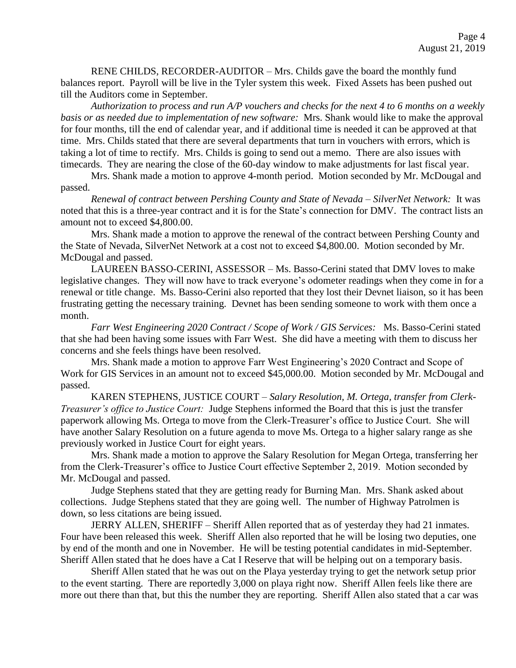RENE CHILDS, RECORDER-AUDITOR – Mrs. Childs gave the board the monthly fund balances report. Payroll will be live in the Tyler system this week. Fixed Assets has been pushed out till the Auditors come in September.

*Authorization to process and run A/P vouchers and checks for the next 4 to 6 months on a weekly basis or as needed due to implementation of new software:* Mrs. Shank would like to make the approval for four months, till the end of calendar year, and if additional time is needed it can be approved at that time. Mrs. Childs stated that there are several departments that turn in vouchers with errors, which is taking a lot of time to rectify. Mrs. Childs is going to send out a memo. There are also issues with timecards. They are nearing the close of the 60-day window to make adjustments for last fiscal year.

Mrs. Shank made a motion to approve 4-month period. Motion seconded by Mr. McDougal and passed.

*Renewal of contract between Pershing County and State of Nevada – SilverNet Network:* It was noted that this is a three-year contract and it is for the State's connection for DMV. The contract lists an amount not to exceed \$4,800.00.

Mrs. Shank made a motion to approve the renewal of the contract between Pershing County and the State of Nevada, SilverNet Network at a cost not to exceed \$4,800.00. Motion seconded by Mr. McDougal and passed.

LAUREEN BASSO-CERINI, ASSESSOR – Ms. Basso-Cerini stated that DMV loves to make legislative changes. They will now have to track everyone's odometer readings when they come in for a renewal or title change. Ms. Basso-Cerini also reported that they lost their Devnet liaison, so it has been frustrating getting the necessary training. Devnet has been sending someone to work with them once a month.

*Farr West Engineering 2020 Contract / Scope of Work / GIS Services:* Ms. Basso-Cerini stated that she had been having some issues with Farr West. She did have a meeting with them to discuss her concerns and she feels things have been resolved.

Mrs. Shank made a motion to approve Farr West Engineering's 2020 Contract and Scope of Work for GIS Services in an amount not to exceed \$45,000.00. Motion seconded by Mr. McDougal and passed.

KAREN STEPHENS, JUSTICE COURT – *Salary Resolution, M. Ortega, transfer from Clerk-Treasurer's office to Justice Court:* Judge Stephens informed the Board that this is just the transfer paperwork allowing Ms. Ortega to move from the Clerk-Treasurer's office to Justice Court. She will have another Salary Resolution on a future agenda to move Ms. Ortega to a higher salary range as she previously worked in Justice Court for eight years.

Mrs. Shank made a motion to approve the Salary Resolution for Megan Ortega, transferring her from the Clerk-Treasurer's office to Justice Court effective September 2, 2019. Motion seconded by Mr. McDougal and passed.

Judge Stephens stated that they are getting ready for Burning Man. Mrs. Shank asked about collections. Judge Stephens stated that they are going well. The number of Highway Patrolmen is down, so less citations are being issued.

JERRY ALLEN, SHERIFF – Sheriff Allen reported that as of yesterday they had 21 inmates. Four have been released this week. Sheriff Allen also reported that he will be losing two deputies, one by end of the month and one in November. He will be testing potential candidates in mid-September. Sheriff Allen stated that he does have a Cat I Reserve that will be helping out on a temporary basis.

Sheriff Allen stated that he was out on the Playa yesterday trying to get the network setup prior to the event starting. There are reportedly 3,000 on playa right now. Sheriff Allen feels like there are more out there than that, but this the number they are reporting. Sheriff Allen also stated that a car was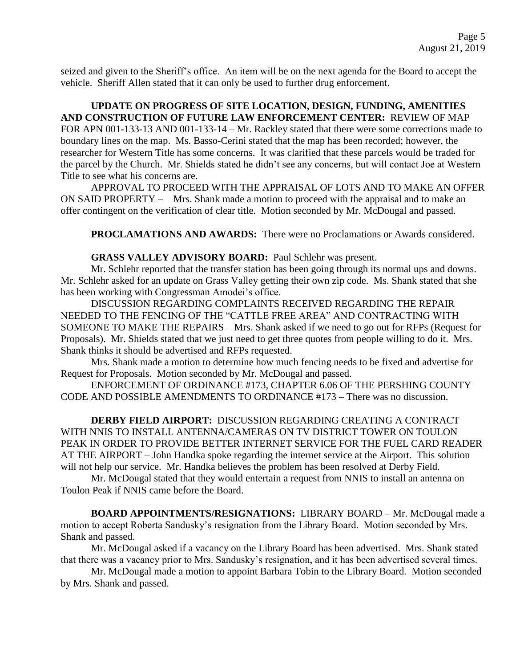seized and given to the Sheriff's office. An item will be on the next agenda for the Board to accept the vehicle. Sheriff Allen stated that it can only be used to further drug enforcement.

## **UPDATE ON PROGRESS OF SITE LOCATION, DESIGN, FUNDING, AMENITIES AND CONSTRUCTION OF FUTURE LAW ENFORCEMENT CENTER:** REVIEW OF MAP

FOR APN 001-133-13 AND 001-133-14 – Mr. Rackley stated that there were some corrections made to boundary lines on the map. Ms. Basso-Cerini stated that the map has been recorded; however, the researcher for Western Title has some concerns. It was clarified that these parcels would be traded for the parcel by the Church. Mr. Shields stated he didn't see any concerns, but will contact Joe at Western Title to see what his concerns are.

APPROVAL TO PROCEED WITH THE APPRAISAL OF LOTS AND TO MAKE AN OFFER ON SAID PROPERTY – Mrs. Shank made a motion to proceed with the appraisal and to make an offer contingent on the verification of clear title. Motion seconded by Mr. McDougal and passed.

**PROCLAMATIONS AND AWARDS:** There were no Proclamations or Awards considered.

### **GRASS VALLEY ADVISORY BOARD:** Paul Schlehr was present.

Mr. Schlehr reported that the transfer station has been going through its normal ups and downs. Mr. Schlehr asked for an update on Grass Valley getting their own zip code. Ms. Shank stated that she has been working with Congressman Amodei's office.

DISCUSSION REGARDING COMPLAINTS RECEIVED REGARDING THE REPAIR NEEDED TO THE FENCING OF THE "CATTLE FREE AREA" AND CONTRACTING WITH SOMEONE TO MAKE THE REPAIRS – Mrs. Shank asked if we need to go out for RFPs (Request for Proposals). Mr. Shields stated that we just need to get three quotes from people willing to do it. Mrs. Shank thinks it should be advertised and RFPs requested.

Mrs. Shank made a motion to determine how much fencing needs to be fixed and advertise for Request for Proposals. Motion seconded by Mr. McDougal and passed.

ENFORCEMENT OF ORDINANCE #173, CHAPTER 6.06 OF THE PERSHING COUNTY CODE AND POSSIBLE AMENDMENTS TO ORDINANCE #173 – There was no discussion.

**DERBY FIELD AIRPORT:** DISCUSSION REGARDING CREATING A CONTRACT WITH NNIS TO INSTALL ANTENNA/CAMERAS ON TV DISTRICT TOWER ON TOULON PEAK IN ORDER TO PROVIDE BETTER INTERNET SERVICE FOR THE FUEL CARD READER AT THE AIRPORT – John Handka spoke regarding the internet service at the Airport. This solution will not help our service. Mr. Handka believes the problem has been resolved at Derby Field.

Mr. McDougal stated that they would entertain a request from NNIS to install an antenna on Toulon Peak if NNIS came before the Board.

**BOARD APPOINTMENTS/RESIGNATIONS:** LIBRARY BOARD – Mr. McDougal made a motion to accept Roberta Sandusky's resignation from the Library Board. Motion seconded by Mrs. Shank and passed.

Mr. McDougal asked if a vacancy on the Library Board has been advertised. Mrs. Shank stated that there was a vacancy prior to Mrs. Sandusky's resignation, and it has been advertised several times.

Mr. McDougal made a motion to appoint Barbara Tobin to the Library Board. Motion seconded by Mrs. Shank and passed.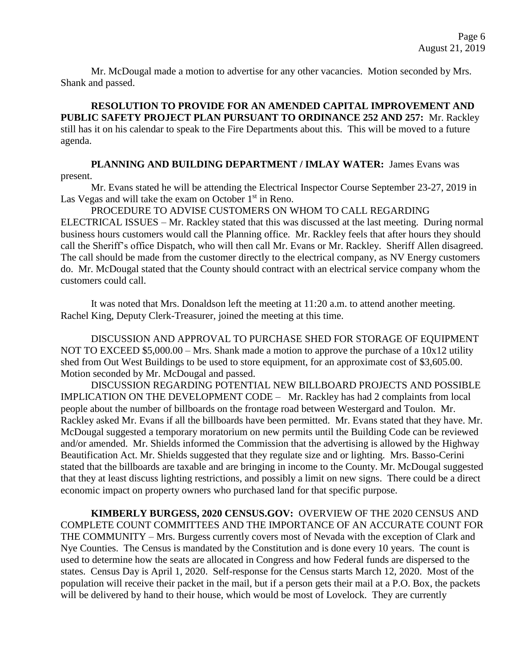Mr. McDougal made a motion to advertise for any other vacancies. Motion seconded by Mrs. Shank and passed.

**RESOLUTION TO PROVIDE FOR AN AMENDED CAPITAL IMPROVEMENT AND PUBLIC SAFETY PROJECT PLAN PURSUANT TO ORDINANCE 252 AND 257:** Mr. Rackley still has it on his calendar to speak to the Fire Departments about this. This will be moved to a future agenda.

**PLANNING AND BUILDING DEPARTMENT / IMLAY WATER:** James Evans was present.

Mr. Evans stated he will be attending the Electrical Inspector Course September 23-27, 2019 in Las Vegas and will take the exam on October 1<sup>st</sup> in Reno.

PROCEDURE TO ADVISE CUSTOMERS ON WHOM TO CALL REGARDING ELECTRICAL ISSUES – Mr. Rackley stated that this was discussed at the last meeting. During normal business hours customers would call the Planning office. Mr. Rackley feels that after hours they should call the Sheriff's office Dispatch, who will then call Mr. Evans or Mr. Rackley. Sheriff Allen disagreed. The call should be made from the customer directly to the electrical company, as NV Energy customers do. Mr. McDougal stated that the County should contract with an electrical service company whom the customers could call.

It was noted that Mrs. Donaldson left the meeting at 11:20 a.m. to attend another meeting. Rachel King, Deputy Clerk-Treasurer, joined the meeting at this time.

DISCUSSION AND APPROVAL TO PURCHASE SHED FOR STORAGE OF EQUIPMENT NOT TO EXCEED \$5,000.00 – Mrs. Shank made a motion to approve the purchase of a 10x12 utility shed from Out West Buildings to be used to store equipment, for an approximate cost of \$3,605.00. Motion seconded by Mr. McDougal and passed.

DISCUSSION REGARDING POTENTIAL NEW BILLBOARD PROJECTS AND POSSIBLE IMPLICATION ON THE DEVELOPMENT CODE – Mr. Rackley has had 2 complaints from local people about the number of billboards on the frontage road between Westergard and Toulon. Mr. Rackley asked Mr. Evans if all the billboards have been permitted. Mr. Evans stated that they have. Mr. McDougal suggested a temporary moratorium on new permits until the Building Code can be reviewed and/or amended. Mr. Shields informed the Commission that the advertising is allowed by the Highway Beautification Act. Mr. Shields suggested that they regulate size and or lighting. Mrs. Basso-Cerini stated that the billboards are taxable and are bringing in income to the County. Mr. McDougal suggested that they at least discuss lighting restrictions, and possibly a limit on new signs. There could be a direct economic impact on property owners who purchased land for that specific purpose.

**KIMBERLY BURGESS, 2020 CENSUS.GOV:** OVERVIEW OF THE 2020 CENSUS AND COMPLETE COUNT COMMITTEES AND THE IMPORTANCE OF AN ACCURATE COUNT FOR THE COMMUNITY – Mrs. Burgess currently covers most of Nevada with the exception of Clark and Nye Counties. The Census is mandated by the Constitution and is done every 10 years. The count is used to determine how the seats are allocated in Congress and how Federal funds are dispersed to the states. Census Day is April 1, 2020. Self-response for the Census starts March 12, 2020. Most of the population will receive their packet in the mail, but if a person gets their mail at a P.O. Box, the packets will be delivered by hand to their house, which would be most of Lovelock. They are currently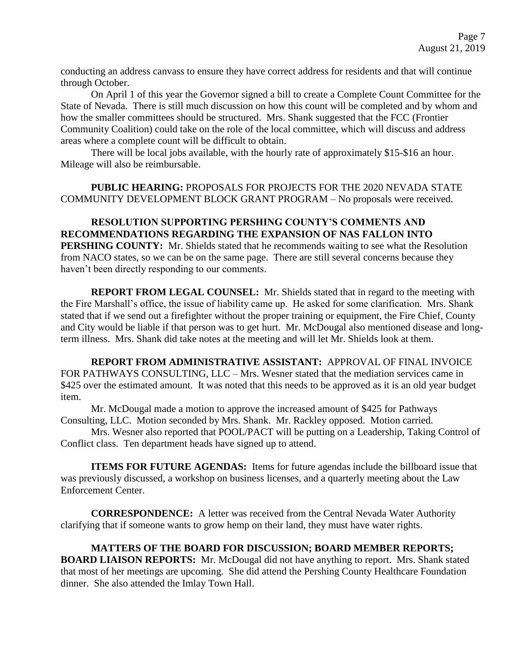conducting an address canvass to ensure they have correct address for residents and that will continue through October.

On April 1 of this year the Governor signed a bill to create a Complete Count Committee for the State of Nevada. There is still much discussion on how this count will be completed and by whom and how the smaller committees should be structured. Mrs. Shank suggested that the FCC (Frontier Community Coalition) could take on the role of the local committee, which will discuss and address areas where a complete count will be difficult to obtain.

There will be local jobs available, with the hourly rate of approximately \$15-\$16 an hour. Mileage will also be reimbursable.

**PUBLIC HEARING:** PROPOSALS FOR PROJECTS FOR THE 2020 NEVADA STATE COMMUNITY DEVELOPMENT BLOCK GRANT PROGRAM – No proposals were received.

# **RESOLUTION SUPPORTING PERSHING COUNTY'S COMMENTS AND RECOMMENDATIONS REGARDING THE EXPANSION OF NAS FALLON INTO PERSHING COUNTY:** Mr. Shields stated that he recommends waiting to see what the Resolution from NACO states, so we can be on the same page. There are still several concerns because they haven't been directly responding to our comments.

**REPORT FROM LEGAL COUNSEL:** Mr. Shields stated that in regard to the meeting with the Fire Marshall's office, the issue of liability came up. He asked for some clarification. Mrs. Shank stated that if we send out a firefighter without the proper training or equipment, the Fire Chief, County and City would be liable if that person was to get hurt. Mr. McDougal also mentioned disease and longterm illness. Mrs. Shank did take notes at the meeting and will let Mr. Shields look at them.

**REPORT FROM ADMINISTRATIVE ASSISTANT:** APPROVAL OF FINAL INVOICE FOR PATHWAYS CONSULTING, LLC – Mrs. Wesner stated that the mediation services came in \$425 over the estimated amount. It was noted that this needs to be approved as it is an old year budget item.

Mr. McDougal made a motion to approve the increased amount of \$425 for Pathways Consulting, LLC. Motion seconded by Mrs. Shank. Mr. Rackley opposed. Motion carried.

Mrs. Wesner also reported that POOL/PACT will be putting on a Leadership, Taking Control of Conflict class. Ten department heads have signed up to attend.

**ITEMS FOR FUTURE AGENDAS:** Items for future agendas include the billboard issue that was previously discussed, a workshop on business licenses, and a quarterly meeting about the Law Enforcement Center.

**CORRESPONDENCE:** A letter was received from the Central Nevada Water Authority clarifying that if someone wants to grow hemp on their land, they must have water rights.

**MATTERS OF THE BOARD FOR DISCUSSION; BOARD MEMBER REPORTS; BOARD LIAISON REPORTS:** Mr. McDougal did not have anything to report. Mrs. Shank stated that most of her meetings are upcoming. She did attend the Pershing County Healthcare Foundation dinner. She also attended the Imlay Town Hall.